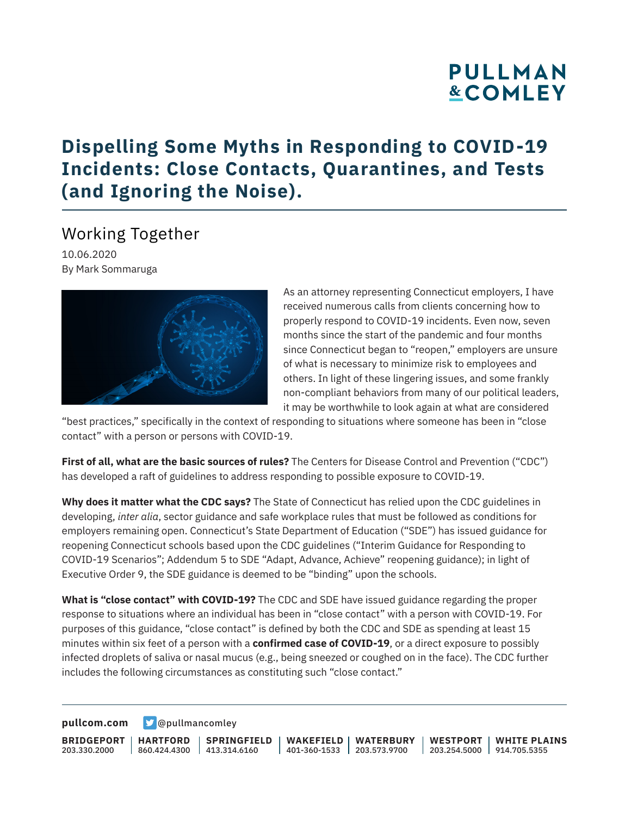# **PULLMAN &COMLEY**

## **Dispelling Some Myths in Responding to COVID-19 Incidents: Close Contacts, Quarantines, and Tests (and Ignoring the Noise).**

#### Working Together

10.06.2020 By Mark Sommaruga



As an attorney representing Connecticut employers, I have received numerous calls from clients concerning how to properly respond to COVID-19 incidents. Even now, seven months since the start of the pandemic and four months since Connecticut began to "reopen," employers are unsure of what is necessary to minimize risk to employees and others. In light of these lingering issues, and some frankly non-compliant behaviors from many of our political leaders, it may be worthwhile to look again at what are considered

"best practices," specifically in the context of responding to situations where someone has been in "close contact" with a person or persons with COVID-19.

**First of all, what are the basic sources of rules?** The Centers for Disease Control and Prevention ("CDC") has developed a raft of guidelines to address responding to possible exposure to COVID-19.

**Why does it matter what the CDC says?** The State of Connecticut has relied upon the CDC guidelines in developing, *inter alia*, sector guidance and safe workplace rules that must be followed as conditions for employers remaining open. Connecticut's State Department of Education ("SDE") has issued guidance for reopening Connecticut schools based upon the CDC guidelines ("Interim Guidance for Responding to COVID-19 Scenarios"; Addendum 5 to SDE "Adapt, Advance, Achieve" reopening guidance); in light of Executive Order 9, the SDE guidance is deemed to be "binding" upon the schools.

**What is "close contact" with COVID-19?** The CDC and SDE have issued guidance regarding the proper response to situations where an individual has been in "close contact" with a person with COVID-19. For purposes of this guidance, "close contact" is defined by both the CDC and SDE as spending at least 15 minutes within six feet of a person with a **confirmed case of COVID-19**, or a direct exposure to possibly infected droplets of saliva or nasal mucus (e.g., being sneezed or coughed on in the face). The CDC further includes the following circumstances as constituting such "close contact."

**[pullcom.com](https://www.pullcom.com) g** [@pullmancomley](https://twitter.com/PullmanComley)

**BRIDGEPORT** 203.330.2000 **HARTFORD** 860.424.4300 413.314.6160 **SPRINGFIELD**

**WAKEFIELD WATERBURY** 401-360-1533 203.573.9700

**WESTPORT WHITE PLAINS** 203.254.5000 914.705.5355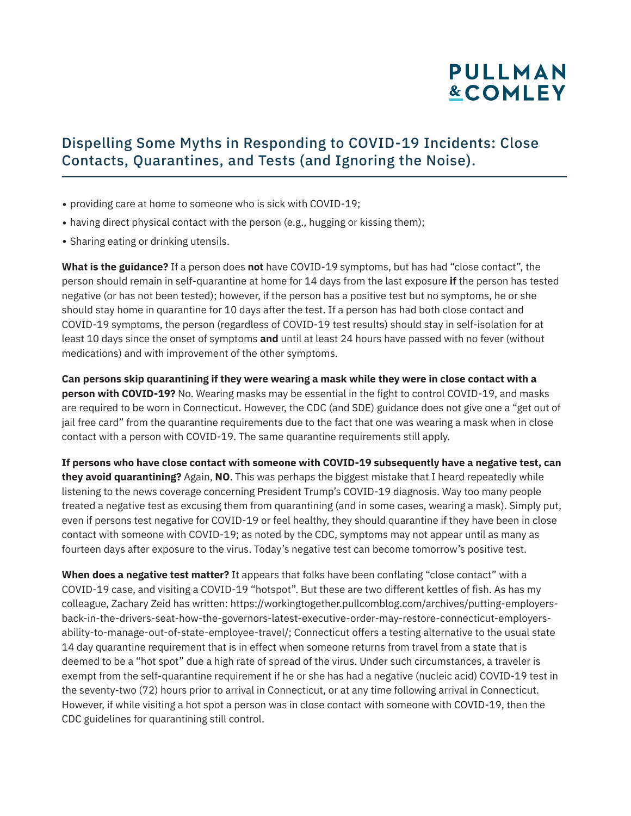## **PULLMAN &COMLEY**

#### Dispelling Some Myths in Responding to COVID-19 Incidents: Close Contacts, Quarantines, and Tests (and Ignoring the Noise).

- providing care at home to someone who is sick with COVID-19;
- having direct physical contact with the person (e.g., hugging or kissing them);
- Sharing eating or drinking utensils.

**What is the guidance?** If a person does **not** have COVID-19 symptoms, but has had "close contact", the person should remain in self-quarantine at home for 14 days from the last exposure **if** the person has tested negative (or has not been tested); however, if the person has a positive test but no symptoms, he or she should stay home in quarantine for 10 days after the test. If a person has had both close contact and COVID-19 symptoms, the person (regardless of COVID-19 test results) should stay in self-isolation for at least 10 days since the onset of symptoms **and** until at least 24 hours have passed with no fever (without medications) and with improvement of the other symptoms.

**Can persons skip quarantining if they were wearing a mask while they were in close contact with a person with COVID-19?** No. Wearing masks may be essential in the fight to control COVID-19, and masks are required to be worn in Connecticut. However, the CDC (and SDE) guidance does not give one a "get out of jail free card" from the quarantine requirements due to the fact that one was wearing a mask when in close contact with a person with COVID-19. The same quarantine requirements still apply.

**If persons who have close contact with someone with COVID-19 subsequently have a negative test, can they avoid quarantining?** Again, **NO**. This was perhaps the biggest mistake that I heard repeatedly while listening to the news coverage concerning President Trump's COVID-19 diagnosis. Way too many people treated a negative test as excusing them from quarantining (and in some cases, wearing a mask). Simply put, even if persons test negative for COVID-19 or feel healthy, they should quarantine if they have been in close contact with someone with COVID-19; as noted by the CDC, symptoms may not appear until as many as fourteen days after exposure to the virus. Today's negative test can become tomorrow's positive test.

**When does a negative test matter?** It appears that folks have been conflating "close contact" with a COVID-19 case, and visiting a COVID-19 "hotspot". But these are two different kettles of fish. As has my colleague, Zachary Zeid has written: https://workingtogether.pullcomblog.com/archives/putting-employersback-in-the-drivers-seat-how-the-governors-latest-executive-order-may-restore-connecticut-employersability-to-manage-out-of-state-employee-travel/; Connecticut offers a testing alternative to the usual state 14 day quarantine requirement that is in effect when someone returns from travel from a state that is deemed to be a "hot spot" due a high rate of spread of the virus. Under such circumstances, a traveler is exempt from the self-quarantine requirement if he or she has had a negative (nucleic acid) COVID-19 test in the seventy-two (72) hours prior to arrival in Connecticut, or at any time following arrival in Connecticut. However, if while visiting a hot spot a person was in close contact with someone with COVID-19, then the CDC guidelines for quarantining still control.